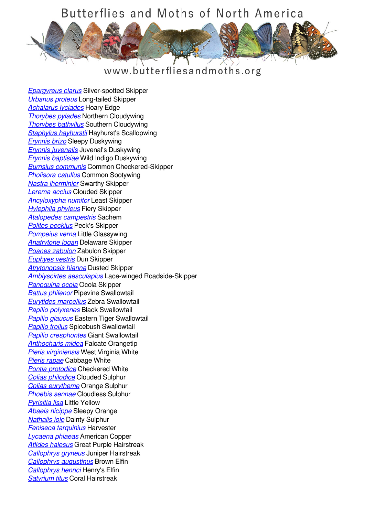

#### www.butterfliesandmoths.org

*[Epargyreus clarus](/species/Epargyreus-clarus)* Silver-spotted Skipper *[Urbanus proteus](/species/Urbanus-proteus)* Long-tailed Skipper *[Achalarus lyciades](/species/Achalarus-lyciades)* Hoary Edge *[Thorybes pylades](/species/Thorybes-pylades)* Northern Cloudywing *[Thorybes bathyllus](/species/Thorybes-bathyllus)* Southern Cloudywing *[Staphylus hayhurstii](/species/Staphylus-hayhurstii)* Hayhurst's Scallopwing *[Erynnis brizo](/species/Erynnis-brizo)* Sleepy Duskywing *[Erynnis juvenalis](/species/Erynnis-juvenalis)* Juvenal's Duskywing *[Erynnis baptisiae](/species/Erynnis-baptisiae)* Wild Indigo Duskywing *[Burnsius communis](/species/Pyrgus-communis)* Common Checkered-Skipper *[Pholisora catullus](/species/Pholisora-catullus)* Common Sootywing *[Nastra lherminier](/species/Nastra-lherminier)* Swarthy Skipper *[Lerema accius](/species/Lerema-accius)* Clouded Skipper *[Ancyloxypha numitor](/species/Ancyloxypha-numitor)* Least Skipper *[Hylephila phyleus](/species/Hylephila-phyleus)* Fiery Skipper *[Atalopedes campestris](/species/Atalopedes-campestris)* Sachem *[Polites peckius](/species/Polites-peckius)* Peck's Skipper *[Pompeius verna](/species/Pompeius-verna)* Little Glassywing *[Anatrytone logan](/species/Anatrytone-logan)* Delaware Skipper *[Poanes zabulon](/species/Poanes-zabulon)* Zabulon Skipper *[Euphyes vestris](/species/Euphyes-vestris)* Dun Skipper *[Atrytonopsis hianna](/species/Atrytonopsis-hianna)* Dusted Skipper *[Amblyscirtes aesculapius](/species/Amblyscirtes-aesculapius)* Lace-winged Roadside-Skipper *[Panoquina ocola](/species/Panoquina-ocola)* Ocola Skipper *[Battus philenor](/species/Battus-philenor)* Pipevine Swallowtail *[Eurytides marcellus](/species/Eurytides-marcellus)* Zebra Swallowtail *[Papilio polyxenes](/species/Papilio-polyxenes)* Black Swallowtail *[Papilio glaucus](/species/Papilio-glaucus)* Eastern Tiger Swallowtail *[Papilio troilus](/species/Papilio-troilus)* Spicebush Swallowtail *[Papilio cresphontes](/species/Papilio-cresphontes)* Giant Swallowtail *[Anthocharis midea](/species/Anthocharis-midea)* Falcate Orangetip *[Pieris virginiensis](/species/Pieris-virginiensis)* West Virginia White *[Pieris rapae](/species/Pieris-rapae)* Cabbage White *[Pontia protodice](/species/Pontia-protodice)* Checkered White *[Colias philodice](/species/Colias-philodice)* Clouded Sulphur *[Colias eurytheme](/species/Colias-eurytheme)* Orange Sulphur *[Phoebis sennae](/species/Phoebis-sennae)* Cloudless Sulphur *[Pyrisitia lisa](/species/Pyrisitia-lisa)* Little Yellow *[Abaeis nicippe](/species/Abaeis-nicippe)* Sleepy Orange *[Nathalis iole](/species/Nathalis-iole)* Dainty Sulphur *[Feniseca tarquinius](/species/Feniseca-tarquinius)* Harvester *[Lycaena phlaeas](/species/Lycaena-phlaeas)* American Copper *[Atlides halesus](/species/Atlides-halesus)* Great Purple Hairstreak *[Callophrys gryneus](/species/Callophrys-gryneus)* Juniper Hairstreak *[Callophrys augustinus](/species/Callophrys-augustinus)* Brown Elfin *[Callophrys henrici](/species/Callophrys-henrici)* Henry's Elfin *[Satyrium titus](/species/Satyrium-titus)* Coral Hairstreak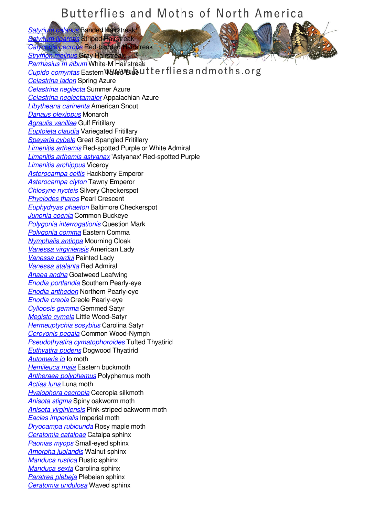*[Satyrium calanus](/species/Satyrium-calanus)* Banded Hairstreak *[Satyrium liparops](/species/Satyrium-liparops)* Striped Hairstreak

*[Calycopis cecrops](/species/Calycopis-cecrops)* Red-banded Hairstreak *[Strymon melinus](/species/Strymon-melinus)* Gray Hairstreak

*[Parrhasius m album](/species/Parrhasius-m-album)* White-M Hairstreak **[Cupido comyntas](/species/Cupido-comyntas)** Eastern Mall depth and the sand moths.org *[Celastrina ladon](/species/Celastrina-ladon)* Spring Azure *[Celastrina neglecta](/species/Celastrina-neglecta)* Summer Azure *[Celastrina neglectamajor](/species/Celastrina-neglectamajor)* Appalachian Azure *[Libytheana carinenta](/species/Libytheana-carinenta)* American Snout *[Danaus plexippus](/species/Danaus-plexippus)* Monarch *[Agraulis vanillae](/species/Agraulis-vanillae)* Gulf Fritillary *[Euptoieta claudia](/species/Euptoieta-claudia)* Variegated Fritillary *[Speyeria cybele](/species/Speyeria-cybele)* Great Spangled Fritillary *[Limenitis arthemis](/species/Limenitis-arthemis)* Red-spotted Purple or White Admiral *[Limenitis arthemis astyanax](/species/Limenitis-arthemis-astyanax)* 'Astyanax' Red-spotted Purple *[Limenitis archippus](/species/Limenitis-archippus)* Viceroy *[Asterocampa celtis](/species/Asterocampa-celtis)* Hackberry Emperor *[Asterocampa clyton](/species/Asterocampa-clyton)* Tawny Emperor *[Chlosyne nycteis](/species/Chlosyne-nycteis)* Silvery Checkerspot *[Phyciodes tharos](/species/Phyciodes-tharos)* Pearl Crescent *[Euphydryas phaeton](/species/Euphydryas-phaeton)* Baltimore Checkerspot *[Junonia coenia](/species/Junonia-coenia)* Common Buckeye *[Polygonia interrogationis](/species/Polygonia-interrogationis)* Question Mark *[Polygonia comma](/species/Polygonia-comma)* Eastern Comma *[Nymphalis antiopa](/species/Nymphalis-antiopa)* Mourning Cloak *[Vanessa virginiensis](/species/Vanessa-virginiensis)* American Lady *[Vanessa cardui](/species/Vanessa-cardui)* Painted Lady *[Vanessa atalanta](/species/Vanessa-atalanta)* Red Admiral *[Anaea andria](/species/Anaea-andria)* Goatweed Leafwing *[Enodia portlandia](/species/Enodia-portlandia)* Southern Pearly-eye *[Enodia anthedon](/species/Enodia-anthedon)* Northern Pearly-eye *[Enodia creola](/species/Enodia-creola)* Creole Pearly-eye *[Cyllopsis gemma](/species/Cyllopsis-gemma)* Gemmed Satyr *[Megisto cymela](/species/Megisto-cymela)* Little Wood-Satyr *[Hermeuptychia sosybius](/species/Hermeuptychia-sosybius)* Carolina Satyr *[Cercyonis pegala](/species/Cercyonis-pegala)* Common Wood-Nymph *[Pseudothyatira cymatophoroides](/species/Pseudothyatira-cymatophoroides)* Tufted Thyatirid *[Euthyatira pudens](/species/Euthyatira-pudens)* Dogwood Thyatirid *[Automeris io](/species/Automeris-io)* Io moth *[Hemileuca maia](/species/Hemileuca-maia)* Eastern buckmoth *[Antheraea polyphemus](/species/Antheraea-polyphemus)* Polyphemus moth *[Actias luna](/species/Actias-luna)* Luna moth *[Hyalophora cecropia](/species/Hyalophora-cecropia)* Cecropia silkmoth *[Anisota stigma](/species/Anisota-stigma)* Spiny oakworm moth *[Anisota virginiensis](/species/Anisota-virginiensis)* Pink-striped oakworm moth *[Eacles imperialis](/species/Eacles-imperialis)* Imperial moth *[Dryocampa rubicunda](/species/Dryocampa-rubicunda)* Rosy maple moth *[Ceratomia catalpae](/species/Ceratomia-catalpae)* Catalpa sphinx *[Paonias myops](/species/Paonias-myops)* Small-eyed sphinx *[Amorpha juglandis](/species/Amorpha-juglandis)* Walnut sphinx *[Manduca rustica](/species/Manduca-rustica)* Rustic sphinx *[Manduca sexta](/species/Manduca-sexta)* Carolina sphinx *[Paratrea plebeja](/species/Paratraea-plebeja)* Plebeian sphinx *[Ceratomia undulosa](/species/Ceratomia-undulosa)* Waved sphinx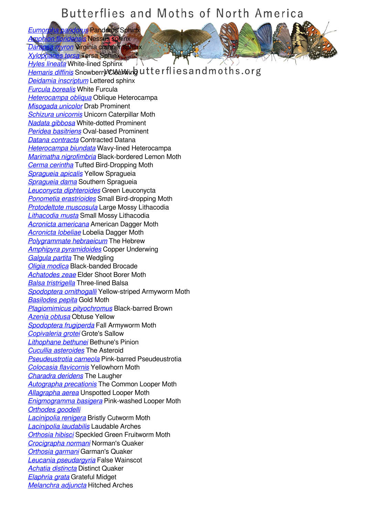*[Eumorpha pandorus](/species/Eumorpha-pandorus)* Pandorus Sphinx *[Amphion floridensis](/species/Amphion-floridensis)* Nessus sphinx **Parawron** Virginia creeper

*[Xylophanes tersa](/species/Xylophanes-tersa)* Tersa Sphinx

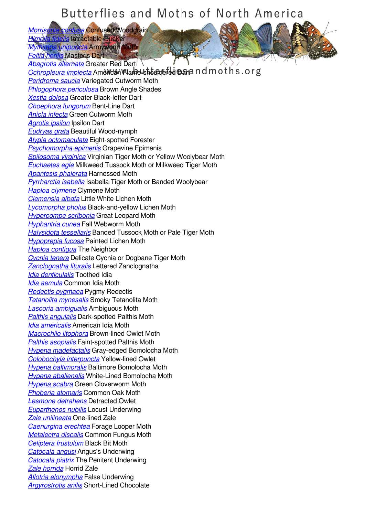*[Morrisonia confusa](/species/Morrisonia-confusa)* Confused Woodgrain *[Himella fidelis](/species/Himella-fidelis)* Intractable Quaker *[Mythimna unipuncta](/species/Mythimna-unipuncta)* Armyworm Moth

*[Feltia herilis](/species/Feltia-herilis)* Master's Dart *[Abagrotis alternata](/species/Abagrotis-alternata)* Greater Red Dart **[Ochropleura implecta](/species/Ochropleura-implecta) American Flame-shouldered Daran ndmoths.org** *[Peridroma saucia](/species/Peridroma-saucia)* Variegated Cutworm Moth *[Phlogophora periculosa](/species/Phlogophora-periculosa)* Brown Angle Shades *[Xestia dolosa](/species/Xestia-dolosa)* Greater Black-letter Dart *[Choephora fungorum](/species/Choephora-fungorum)* Bent-Line Dart *[Anicla infecta](/species/Anicla-infecta)* Green Cutworm Moth *[Agrotis ipsilon](/species/Agrotis-ipsilon)* Ipsilon Dart *[Eudryas grata](/species/Eudryas-grata)* Beautiful Wood-nymph *[Alypia octomaculata](/species/Alypia-octomaculata)* Eight-spotted Forester *[Psychomorpha epimenis](/species/Psychomorpha-epimenis)* Grapevine Epimenis *[Spilosoma virginica](/species/Spilosoma-virginica)* Virginian Tiger Moth or Yellow Woolybear Moth *[Euchaetes egle](/species/Euchaetes-egle)* Milkweed Tussock Moth or Milkweed Tiger Moth *[Apantesis phalerata](/species/Apantesis-phalerata)* Harnessed Moth *[Pyrrharctia isabella](/species/Pyrrharctia-isabella)* Isabella Tiger Moth or Banded Woolybear *[Haploa clymene](/species/Haploa-clymene)* Clymene Moth *[Clemensia albata](/species/Clemensia-albata)* Little White Lichen Moth *[Lycomorpha pholus](/species/Lycomorpha-pholus)* Black-and-yellow Lichen Moth *[Hypercompe scribonia](/species/Hypercompe-scribonia)* Great Leopard Moth *[Hyphantria cunea](/species/Hyphantria-cunea)* Fall Webworm Moth *[Halysidota tessellaris](/species/Halysidota-tessellaris)* Banded Tussock Moth or Pale Tiger Moth *[Hypoprepia fucosa](/species/Hypoprepia-fucosa)* Painted Lichen Moth *[Haploa contigua](/species/Haploa-contigua)* The Neighbor *[Cycnia tenera](/species/Cycnia-tenera)* Delicate Cycnia or Dogbane Tiger Moth *[Zanclognatha lituralis](/species/Zanclognatha-lituralis)* Lettered Zanclognatha *[Idia denticulalis](/species/Idia-denticulalis)* Toothed Idia *[Idia aemula](/species/Idia-aemula)* Common Idia Moth *[Redectis pygmaea](/species/Redectis-pygmaea)* Pygmy Redectis *[Tetanolita mynesalis](/species/Tetanolita-mynesalis)* Smoky Tetanolita Moth *[Lascoria ambigualis](/species/Lascoria-ambigualis)* Ambiguous Moth *[Palthis angulalis](/species/Palthis-angulalis)* Dark-spotted Palthis Moth *[Idia americalis](/species/Idia-americalis)* American Idia Moth *[Macrochilo litophora](/species/Macrochilo-litophora)* Brown-lined Owlet Moth *[Palthis asopialis](/species/Palthis-asopialis)* Faint-spotted Palthis Moth *[Hypena madefactalis](/species/Hypena-madefactalis)* Gray-edged Bomolocha Moth *[Colobochyla interpuncta](/species/Colobochyla-interpuncta)* Yellow-lined Owlet *[Hypena baltimoralis](/species/Hypena-baltimoralis)* Baltimore Bomolocha Moth *[Hypena abalienalis](/species/Hypena-abalienalis)* White-Lined Bomolocha Moth *[Hypena scabra](/species/Hypena-scabra)* Green Cloverworm Moth *[Phoberia atomaris](/species/Phoberia-atomaris)* Common Oak Moth *[Lesmone detrahens](/species/Lesmone-detrahens)* Detracted Owlet *[Euparthenos nubilis](/species/Euparthenos-nubilis)* Locust Underwing *[Zale unilineata](/species/Zale-unilineata)* One-lined Zale *[Caenurgina erechtea](/species/Caenurgina-erechtea)* Forage Looper Moth *[Metalectra discalis](/species/Metalectra-discalis)* Common Fungus Moth *[Celiptera frustulum](/species/Celiptera-frustulum)* Black Bit Moth *[Catocala angusi](/species/Catocala-angusi)* Angus's Underwing *[Catocala piatrix](/species/Catocala-piatrix)* The Penitent Underwing *[Zale horrida](/species/Zale-horrida)* Horrid Zale *[Allotria elonympha](/species/Allotria-elonympha)* False Underwing *[Argyrostrotis anilis](/species/Argyrostrotis-anilis)* Short-Lined Chocolate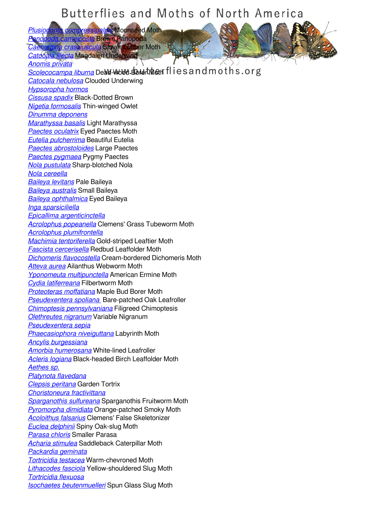*[Plusiodonta compressipalpis](/species/Plusiodonta-compressipalpis)* Moonseed Moth *[Panopoda carneicosta](/species/Panopoda-carneicosta)* Brown Panopoda

**a** crassiuscula Clover Looper Moth *[Catocala illecta](/species/Catocala-illecta)* Magdalen Underwing

*[Anomis privata](/species/Anomis-privata)* **[Scolecocampa liburna](/species/Scolecocampa-liburna)** Dead-wood Bord Monther fliesand moths.org *[Catocala nebulosa](/species/Catocala-nebulosa)* Clouded Underwing *[Hypsoropha hormos](/species/Hypsoropha-hormos) [Cissusa spadix](/species/Cissusa-spadix)* Black-Dotted Brown *[Nigetia formosalis](/species/Nigetia-formosalis)* Thin-winged Owlet *[Dinumma deponens](/species/Dinumma-deponens) [Marathyssa basalis](/species/Marathyssa-basalis)* Light Marathyssa *[Paectes oculatrix](/species/Paectes-oculatrix)* Eyed Paectes Moth *[Eutelia pulcherrima](/species/Eutelia-pulcherrima)* Beautiful Eutelia *[Paectes abrostoloides](/species/Paectes-abrostoloides)* Large Paectes *[Paectes pygmaea](/species/Paectes-pygmaea)* Pygmy Paectes *[Nola pustulata](/species/Nola-pustulata)* Sharp-blotched Nola *[Nola cereella](/species/Nola-cereella) [Baileya levitans](/species/Baileya-levitans)* Pale Baileya *[Baileya australis](/species/Baileya-australis)* Small Baileya *[Baileya ophthalmica](/species/Baileya-ophthalmica)* Eyed Baileya *[Inga sparsiciliella](/species/Inga-sparsiciliella) [Epicallima argenticinctella](/species/Epicallima-argenticinctella) [Acrolophus popeanella](/species/Acrolophus-popeanella)* Clemens' Grass Tubeworm Moth *[Acrolophus plumifrontella](/species/Acrolophus-plumifrontella) [Machimia tentoriferella](/species/Machimia-tentoriferella)* Gold-striped Leaftier Moth *[Fascista cercerisella](/species/Fascista-cercerisella)* Redbud Leaffolder Moth *[Dichomeris flavocostella](/species/Dichomeris-flavocostella)* Cream-bordered Dichomeris Moth *[Atteva aurea](/species/Atteva-aurea)* Ailanthus Webworm Moth *[Yponomeuta multipunctella](/species/Yponomeuta-multipunctella)* American Ermine Moth *[Cydia latiferreana](/species/Cydia-latiferreana)* Filbertworm Moth *[Proteoteras moffatiana](/species/Proteoteras-moffatiana)* Maple Bud Borer Moth *[Pseudexentera spoliana](/species/Pseudexentera-spoliana-)* Bare-patched Oak Leafroller *[Chimoptesis pennsylvaniana](/species/Chimoptesis-pennsylvaniana)* Filigreed Chimoptesis *[Olethreutes nigranum](/species/Olethreutes-nigranum)* Variable Nigranum *[Pseudexentera sepia](/species/Pseudexentera-sepia) [Phaecasiophora niveiguttana](/species/Phaecasiophora-niveiguttana)* Labyrinth Moth *[Ancylis burgessiana](/species/Ancylis-burgessiana) [Amorbia humerosana](/species/Amorbia-humerosana)* White-lined Leafroller *[Acleris logiana](/species/Acleris-logiana)* Black-headed Birch Leaffolder Moth *[Aethes sp.](/species/Aethes-sp.) [Platynota flavedana](/species/Platynota-flavedana) [Clepsis peritana](/species/Clepsis-peritana)* Garden Tortrix *[Choristoneura fractivittana](/species/Choristoneura-fractivittana) [Sparganothis sulfureana](/species/Sparganothis-sulfureana)* Sparganothis Fruitworm Moth *[Pyromorpha dimidiata](/species/Pyromorpha-dimidiata)* Orange-patched Smoky Moth *[Acoloithus falsarius](/species/Acoloithus-falsarius)* Clemens' False Skeletonizer *[Euclea delphinii](/species/Euclea-delphinii)* Spiny Oak-slug Moth *[Parasa chloris](/species/Parasa-chloris)* Smaller Parasa *[Acharia stimulea](/species/Acharia-stimulea)* Saddleback Caterpillar Moth *[Packardia geminata](/species/Packardia-geminata) [Tortricidia testacea](/species/Tortricidia-testacea)* Warm-chevroned Moth *[Lithacodes fasciola](/species/Lithacodes-fasciola)* Yellow-shouldered Slug Moth *[Tortricidia flexuosa](/species/Tortricidia-flexuosa) [Isochaetes beutenmuelleri](/species/Isochaetes-beutenmuelleri)* Spun Glass Slug Moth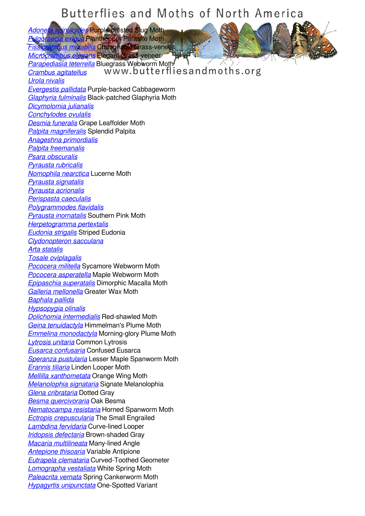*[Adoneta spinuloides](/species/Adoneta-spinuloides)* Purple-crested Slug Moth *[Fulgoraecia exigua](/species/Fulgoraecia-exigua)* Planthopper Parasite Moth **zus mutabilis Changeable G**rass-venee *[Microcrambus elegans](/species/Microcrambus-elegans)* Elegant Grass-veneer *[Parapediasia teterrella](/species/Parapediasia-teterrella)* Bluegrass Webworm Moth *[Crambus agitatellus](/species/Crambus-agitatellus) [Urola nivalis](/species/Urola-nivalis) [Evergestis pallidata](/species/Evergestis-pallidata)* Purple-backed Cabbageworm *[Glaphyria fulminalis](/species/Glaphyria-fulminalis)* Black-patched Glaphyria Moth *[Dicymolomia julianalis](/species/Dicymolomia-julianalis) [Conchylodes ovulalis](/species/Conchylodes-ovulalis) [Desmia funeralis](/species/Desmia-funeralis)* Grape Leaffolder Moth *[Palpita magniferalis](/species/Palpita-magniferalis)* Splendid Palpita *[Anageshna primordialis](/species/Anageshna-primordialis) [Palpita freemanalis](/species/Palpita-freemanalis) [Psara obscuralis](/species/Psara-obscuralis) [Pyrausta rubricalis](/species/Pyrausta-rubricalis) [Nomophila nearctica](/species/Nomophila-nearctica)* Lucerne Moth *[Pyrausta signatalis](/species/Pyrausta-signatalis) [Pyrausta acrionalis](/species/Pyrausta-acrionalis) [Perispasta caeculalis](/species/Perispasta-caeculalis) [Polygrammodes flavidalis](/species/Polygrammodes-flavidalis) [Pyrausta inornatalis](/species/Pyrausta-inornatalis)* Southern Pink Moth *[Herpetogramma pertextalis](/species/Herpetogramma-pertextalis) [Eudonia strigalis](/species/Eudonia-strigalis)* Striped Eudonia *[Clydonopteron sacculana](/species/Clydonopteron-sacculana) [Arta statalis](/species/Arta-statalis) [Tosale oviplagalis](/species/Tosale-oviplagalis) [Pococera militella](/species/Pococera-militella)* Sycamore Webworm Moth *[Pococera asperatella](/species/Pococera-asperatella)* Maple Webworm Moth *[Epipaschia superatalis](/species/Epipaschia-superatalis)* Dimorphic Macalla Moth *[Galleria mellonella](/species/Galleria-mellonella)* Greater Wax Moth *[Baphala pallida](/species/Baphala-pallida) [Hypsopygia olinalis](/species/Hypsopygia-olinalis) [Dolichomia intermedialis](/species/Dolichomia-intermedialis)* Red-shawled Moth *[Geina tenuidactyla](/species/Geina-tenuidactyla)* Himmelman's Plume Moth *[Emmelina monodactyla](/species/Emmelina-monodactyla)* Morning-glory Plume Moth *[Lytrosis unitaria](/species/Lytrosis-unitaria)* Common Lytrosis *[Eusarca confusaria](/species/Eusarca-confusaria)* Confused Eusarca *[Speranza pustularia](/species/Speranza-pustularia)* Lesser Maple Spanworm Moth *[Erannis tiliaria](/species/Erannis-tiliaria)* Linden Looper Moth *[Mellilla xanthometata](/species/Mellilla-xanthometata)* Orange Wing Moth *[Melanolophia signataria](/species/Melanolophia-signataria)* Signate Melanolophia *[Glena cribrataria](/species/Glena-cribrataria)* Dotted Gray *[Besma quercivoraria](/species/Besma-quercivoraria)* Oak Besma *[Nematocampa resistaria](/species/Nematocampa-resistaria)* Horned Spanworm Moth *[Ectropis crepuscularia](/species/Ectropis-crepuscularia)* The Small Engrailed *[Lambdina fervidaria](/species/Lambdina-fervidaria)* Curve-lined Looper *[Iridopsis defectaria](/species/Iridopsis-defectaria)* Brown-shaded Gray *[Macaria multilineata](/species/Macaria-multilineata)* Many-lined Angle *[Antepione thisoaria](/species/Antepione-thisoaria)* Variable Antipione *[Eutrapela clemataria](/species/Eutrapela-clemataria)* Curved-Toothed Geometer *[Lomographa vestaliata](/species/Lomographa-vestaliata)* White Spring Moth *[Paleacrita vernata](/species/Paleacrita-vernata)* Spring Cankerworm Moth *[Hypagyrtis unipunctata](/species/Hypagyrtis-unipunctata)* One-Spotted Variant